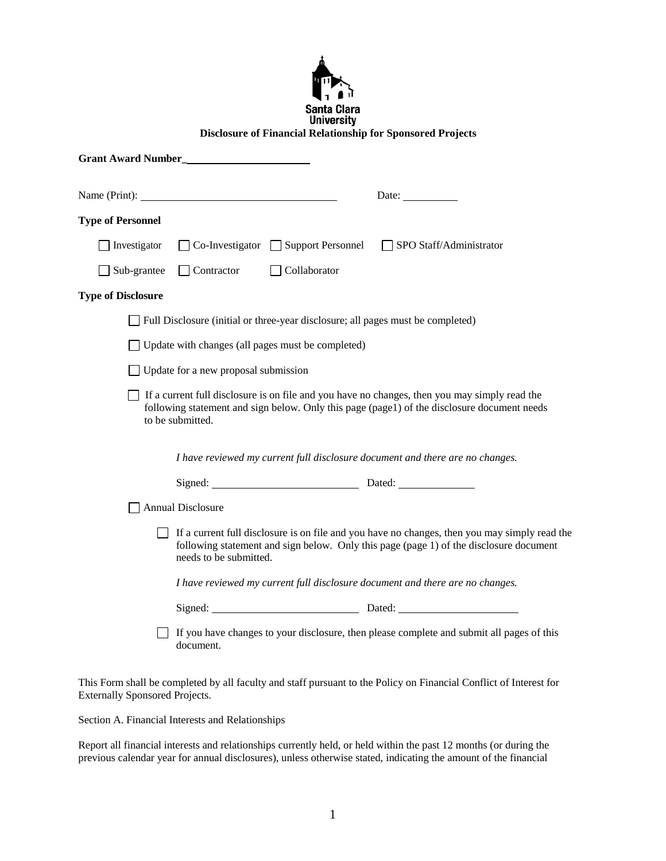| пl                               |
|----------------------------------|
| Santa Clara<br><b>University</b> |

## **Disclosure of Financial Relationship for Sponsored Projects**

|                           | Name (Print):                                                                                                                                                                                                     |                                                                                 | Date: $\frac{1}{\sqrt{1-\frac{1}{2}} \cdot \frac{1}{2}}$                                                                                                                                     |  |
|---------------------------|-------------------------------------------------------------------------------------------------------------------------------------------------------------------------------------------------------------------|---------------------------------------------------------------------------------|----------------------------------------------------------------------------------------------------------------------------------------------------------------------------------------------|--|
| <b>Type of Personnel</b>  |                                                                                                                                                                                                                   |                                                                                 |                                                                                                                                                                                              |  |
| Investigator              |                                                                                                                                                                                                                   | $\Box$ Co-Investigator $\Box$ Support Personnel                                 | $\Box$ SPO Staff/Administrator                                                                                                                                                               |  |
| Sub-grantee               | $\Box$ Contractor                                                                                                                                                                                                 | Collaborator                                                                    |                                                                                                                                                                                              |  |
| <b>Type of Disclosure</b> |                                                                                                                                                                                                                   |                                                                                 |                                                                                                                                                                                              |  |
|                           |                                                                                                                                                                                                                   | Full Disclosure (initial or three-year disclosure; all pages must be completed) |                                                                                                                                                                                              |  |
|                           |                                                                                                                                                                                                                   | Update with changes (all pages must be completed)                               |                                                                                                                                                                                              |  |
|                           | Update for a new proposal submission                                                                                                                                                                              |                                                                                 |                                                                                                                                                                                              |  |
|                           | to be submitted.                                                                                                                                                                                                  |                                                                                 | If a current full disclosure is on file and you have no changes, then you may simply read the<br>following statement and sign below. Only this page (page1) of the disclosure document needs |  |
|                           |                                                                                                                                                                                                                   |                                                                                 | I have reviewed my current full disclosure document and there are no changes.                                                                                                                |  |
|                           |                                                                                                                                                                                                                   | Signed: Dated: Dated:                                                           |                                                                                                                                                                                              |  |
|                           | <b>Annual Disclosure</b>                                                                                                                                                                                          |                                                                                 |                                                                                                                                                                                              |  |
|                           | If a current full disclosure is on file and you have no changes, then you may simply read the<br>following statement and sign below. Only this page (page 1) of the disclosure document<br>needs to be submitted. |                                                                                 |                                                                                                                                                                                              |  |
|                           | I have reviewed my current full disclosure document and there are no changes.                                                                                                                                     |                                                                                 |                                                                                                                                                                                              |  |
|                           |                                                                                                                                                                                                                   |                                                                                 |                                                                                                                                                                                              |  |
|                           | document.                                                                                                                                                                                                         |                                                                                 | If you have changes to your disclosure, then please complete and submit all pages of this                                                                                                    |  |

This Form shall be completed by all faculty and staff pursuant to the Policy on Financial Conflict of Interest for Externally Sponsored Projects.

Section A. Financial Interests and Relationships

Report all financial interests and relationships currently held, or held within the past 12 months (or during the previous calendar year for annual disclosures), unless otherwise stated, indicating the amount of the financial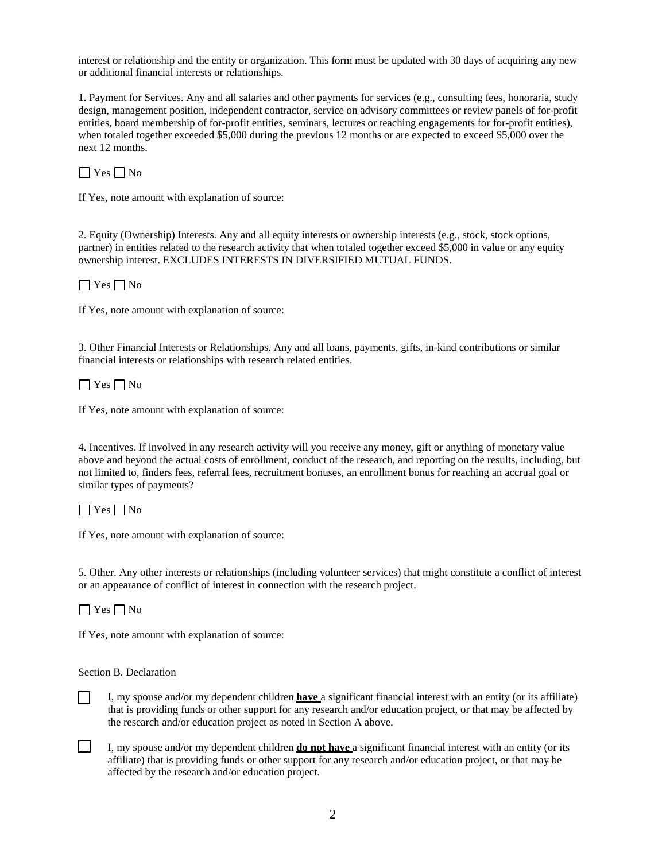interest or relationship and the entity or organization. This form must be updated with 30 days of acquiring any new or additional financial interests or relationships.

1. Payment for Services. Any and all salaries and other payments for services (e.g., consulting fees, honoraria, study design, management position, independent contractor, service on advisory committees or review panels of for-profit entities, board membership of for-profit entities, seminars, lectures or teaching engagements for for-profit entities), when totaled together exceeded \$5,000 during the previous 12 months or are expected to exceed \$5,000 over the next 12 months.

 $\Box$  Yes  $\Box$  No

If Yes, note amount with explanation of source:

2. Equity (Ownership) Interests. Any and all equity interests or ownership interests (e.g., stock, stock options, partner) in entities related to the research activity that when totaled together exceed \$5,000 in value or any equity ownership interest. EXCLUDES INTERESTS IN DIVERSIFIED MUTUAL FUNDS.

 $\Box$  Yes  $\Box$  No

If Yes, note amount with explanation of source:

3. Other Financial Interests or Relationships. Any and all loans, payments, gifts, in-kind contributions or similar financial interests or relationships with research related entities.

 $\Box$  Yes  $\Box$  No

If Yes, note amount with explanation of source:

4. Incentives. If involved in any research activity will you receive any money, gift or anything of monetary value above and beyond the actual costs of enrollment, conduct of the research, and reporting on the results, including, but not limited to, finders fees, referral fees, recruitment bonuses, an enrollment bonus for reaching an accrual goal or similar types of payments?

 $\Box$  Yes  $\Box$  No

If Yes, note amount with explanation of source:

5. Other. Any other interests or relationships (including volunteer services) that might constitute a conflict of interest or an appearance of conflict of interest in connection with the research project.

 $\Box$  Yes  $\Box$  No

 $\mathsf{L}$ 

If Yes, note amount with explanation of source:

Section B. Declaration

I, my spouse and/or my dependent children **have** a significant financial interest with an entity (or its affiliate) that is providing funds or other support for any research and/or education project, or that may be affected by the research and/or education project as noted in Section A above.

 $\Box$ I, my spouse and/or my dependent children **do not have** a significant financial interest with an entity (or its affiliate) that is providing funds or other support for any research and/or education project, or that may be affected by the research and/or education project.